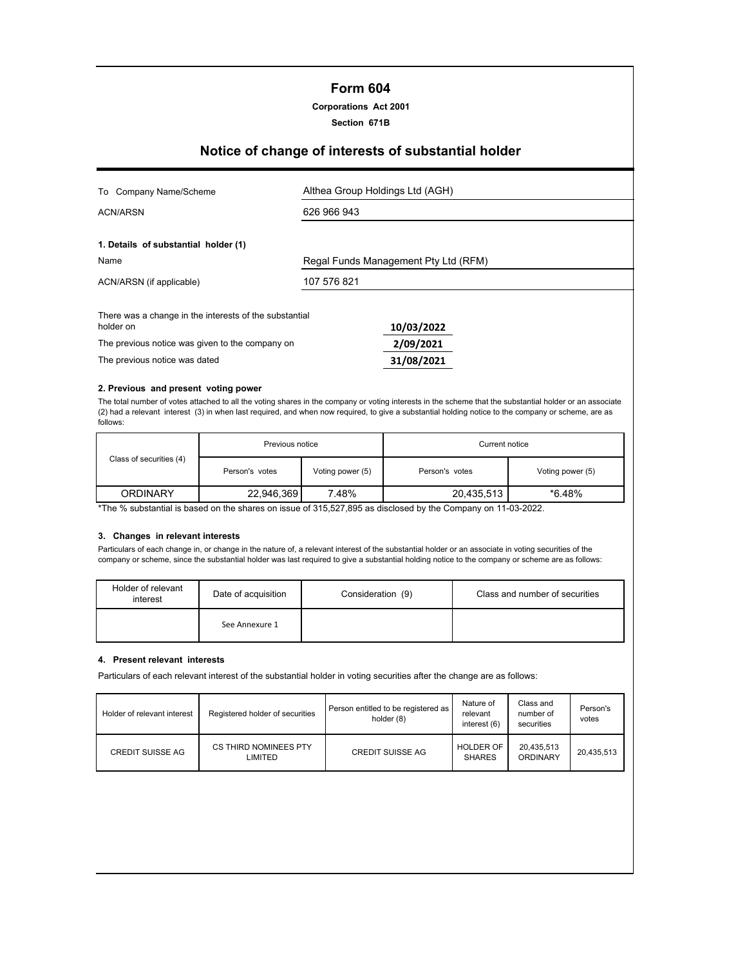## **Form 604**

**Corporations Act 2001**

**Section 671B**

# **Notice of change of interests of substantial holder**

| To Company Name/Scheme                                              | Althea Group Holdings Ltd (AGH)      |  |  |
|---------------------------------------------------------------------|--------------------------------------|--|--|
| <b>ACN/ARSN</b>                                                     | 626 966 943                          |  |  |
| 1. Details of substantial holder (1)                                |                                      |  |  |
| Name                                                                | Regal Funds Management Pty Ltd (RFM) |  |  |
| ACN/ARSN (if applicable)                                            | 107 576 821                          |  |  |
| There was a change in the interests of the substantial<br>holder on | 10/03/2022                           |  |  |
| The previous notice was given to the company on                     | 2/09/2021                            |  |  |
| The previous notice was dated                                       | 31/08/2021                           |  |  |

#### **2. Previous and present voting power**

The total number of votes attached to all the voting shares in the company or voting interests in the scheme that the substantial holder or an associate (2) had a relevant interest (3) in when last required, and when now required, to give a substantial holding notice to the company or scheme, are as follows:

|                         | Previous notice |                  | Current notice |                  |  |
|-------------------------|-----------------|------------------|----------------|------------------|--|
| Class of securities (4) | Person's votes  | Voting power (5) | Person's votes | Voting power (5) |  |
| ORDINARY                | 22,946,369      | 7.48%            | 20,435,513     | $*6.48%$         |  |

\*The % substantial is based on the shares on issue of 315,527,895 as disclosed by the Company on 11-03-2022.

## **3. Changes in relevant interests**

Particulars of each change in, or change in the nature of, a relevant interest of the substantial holder or an associate in voting securities of the company or scheme, since the substantial holder was last required to give a substantial holding notice to the company or scheme are as follows:

| Holder of relevant<br>interest | Date of acquisition | Consideration (9) | Class and number of securities |
|--------------------------------|---------------------|-------------------|--------------------------------|
|                                | See Annexure 1      |                   |                                |

#### **4. Present relevant interests**

Particulars of each relevant interest of the substantial holder in voting securities after the change are as follows:

| Holder of relevant interest | Registered holder of securities  | Person entitled to be registered as<br>holder (8) | Nature of<br>relevant<br>interest (6) | Class and<br>number of<br>securities | Person's<br>votes |
|-----------------------------|----------------------------------|---------------------------------------------------|---------------------------------------|--------------------------------------|-------------------|
| <b>CREDIT SUISSE AG</b>     | CS THIRD NOMINEES PTY<br>LIMITED | <b>CREDIT SUISSE AG</b>                           | <b>HOLDER OF</b><br><b>SHARES</b>     | 20,435,513<br>ORDINARY               | 20.435.513        |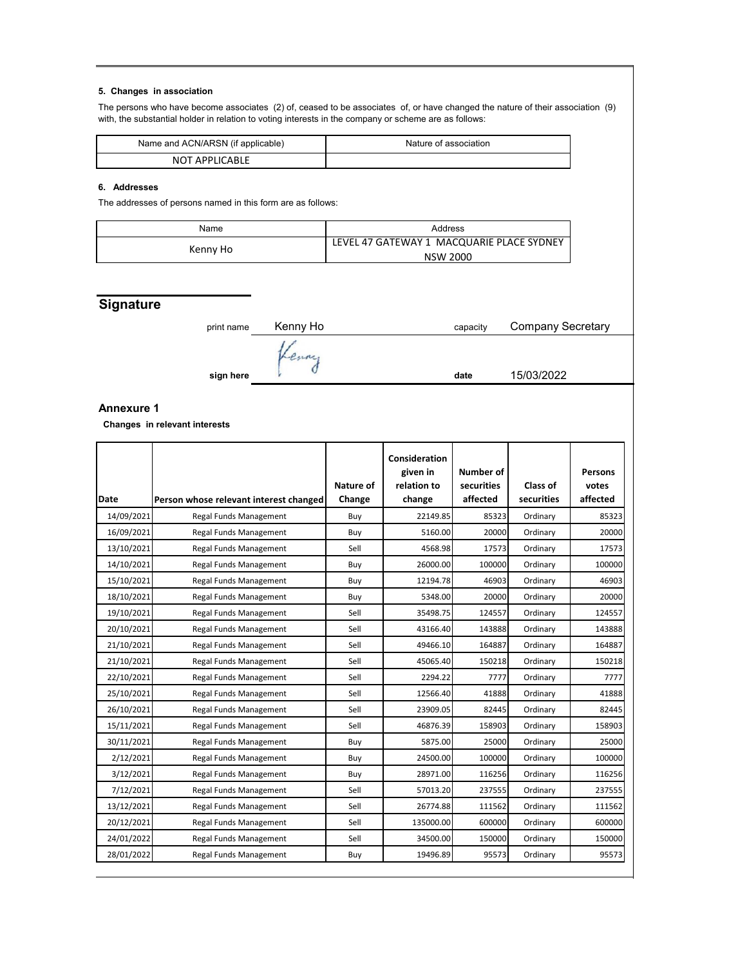## **5. Changes in association**

The persons who have become associates (2) of, ceased to be associates of, or have changed the nature of their association (9) with, the substantial holder in relation to voting interests in the company or scheme are as follows:

| Name and ACN/ARSN (if applicable) | Nature of association |
|-----------------------------------|-----------------------|
| <b>NOT APPLICABLE</b>             |                       |

#### **6. Addresses**

The addresses of persons named in this form are as follows:

| Name     | Address                                   |
|----------|-------------------------------------------|
|          | LEVEL 47 GATEWAY 1 MACQUARIE PLACE SYDNEY |
| Kenny Ho | <b>NSW 2000</b>                           |

# **Signature**

| print name | Kenny Ho | capacity | <b>Company Secretary</b> |
|------------|----------|----------|--------------------------|
|            |          |          |                          |
|            |          |          | 15/03/2022               |
| sign here  |          | date     |                          |

## **Annexure 1**

 **Changes in relevant interests**

| <b>Date</b> | Person whose relevant interest changed | Nature of<br>Change | Consideration<br>given in<br>relation to<br>change | Number of<br>securities<br>affected | Class of<br>securities | <b>Persons</b><br>votes<br>affected |
|-------------|----------------------------------------|---------------------|----------------------------------------------------|-------------------------------------|------------------------|-------------------------------------|
| 14/09/2021  | Regal Funds Management                 | Buy                 | 22149.85                                           | 85323                               | Ordinary               | 85323                               |
| 16/09/2021  | Regal Funds Management                 | Buy                 | 5160.00                                            | 20000                               | Ordinary               | 20000                               |
| 13/10/2021  | Regal Funds Management                 | Sell                | 4568.98                                            | 17573                               | Ordinary               | 17573                               |
| 14/10/2021  | Regal Funds Management                 | Buy                 | 26000.00                                           | 100000                              | Ordinary               | 100000                              |
| 15/10/2021  | Regal Funds Management                 | Buy                 | 12194.78                                           | 46903                               | Ordinary               | 46903                               |
| 18/10/2021  | Regal Funds Management                 | Buy                 | 5348.00                                            | 20000                               | Ordinary               | 20000                               |
| 19/10/2021  | Regal Funds Management                 | Sell                | 35498.75                                           | 124557                              | Ordinary               | 124557                              |
| 20/10/2021  | Regal Funds Management                 | Sell                | 43166.40                                           | 143888                              | Ordinary               | 143888                              |
| 21/10/2021  | Regal Funds Management                 | Sell                | 49466.10                                           | 164887                              | Ordinary               | 164887                              |
| 21/10/2021  | Regal Funds Management                 | Sell                | 45065.40                                           | 150218                              | Ordinary               | 150218                              |
| 22/10/2021  | Regal Funds Management                 | Sell                | 2294.22                                            | 7777                                | Ordinary               | 7777                                |
| 25/10/2021  | Regal Funds Management                 | Sell                | 12566.40                                           | 41888                               | Ordinary               | 41888                               |
| 26/10/2021  | Regal Funds Management                 | Sell                | 23909.05                                           | 82445                               | Ordinary               | 82445                               |
| 15/11/2021  | Regal Funds Management                 | Sell                | 46876.39                                           | 158903                              | Ordinary               | 158903                              |
| 30/11/2021  | Regal Funds Management                 | Buy                 | 5875.00                                            | 25000                               | Ordinary               | 25000                               |
| 2/12/2021   | Regal Funds Management                 | Buy                 | 24500.00                                           | 100000                              | Ordinary               | 100000                              |
| 3/12/2021   | Regal Funds Management                 | Buy                 | 28971.00                                           | 116256                              | Ordinary               | 116256                              |
| 7/12/2021   | Regal Funds Management                 | Sell                | 57013.20                                           | 237555                              | Ordinary               | 237555                              |
| 13/12/2021  | Regal Funds Management                 | Sell                | 26774.88                                           | 111562                              | Ordinary               | 111562                              |
| 20/12/2021  | Regal Funds Management                 | Sell                | 135000.00                                          | 600000                              | Ordinary               | 600000                              |
| 24/01/2022  | Regal Funds Management                 | Sell                | 34500.00                                           | 150000                              | Ordinary               | 150000                              |
| 28/01/2022  | Regal Funds Management                 | Buy                 | 19496.89                                           | 95573                               | Ordinary               | 95573                               |